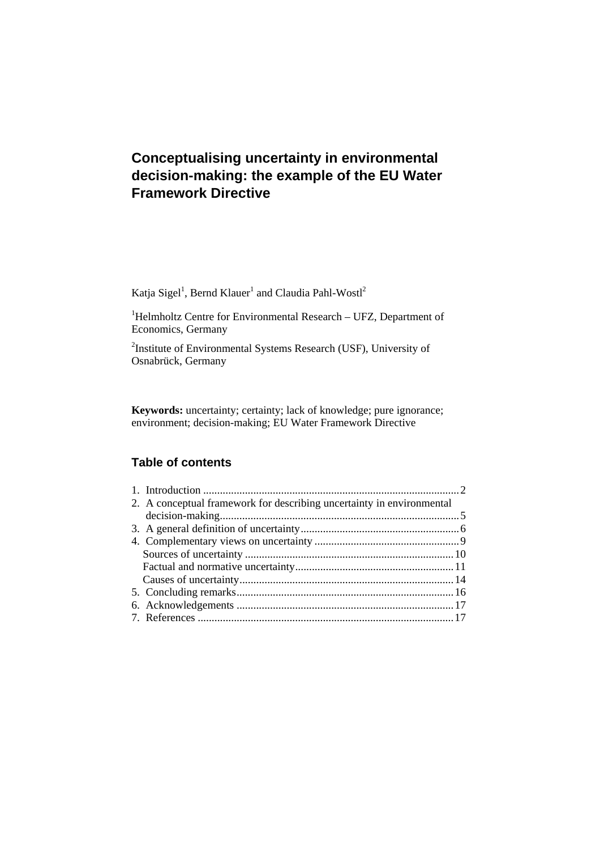# **Conceptualising uncertainty in environmental decision-making: the example of the EU Water Framework Directive**

Katja Sigel<sup>1</sup>, Bernd Klauer<sup>1</sup> and Claudia Pahl-Wostl<sup>2</sup>

<sup>1</sup>Helmholtz Centre for Environmental Research – UFZ, Department of Economics, Germany

<sup>2</sup>Institute of Environmental Systems Research (USF), University of Osnabrück, Germany

**Keywords:** uncertainty; certainty; lack of knowledge; pure ignorance; environment; decision-making; EU Water Framework Directive

# **Table of contents**

| 2. A conceptual framework for describing uncertainty in environmental |  |
|-----------------------------------------------------------------------|--|
|                                                                       |  |
|                                                                       |  |
|                                                                       |  |
|                                                                       |  |
|                                                                       |  |
|                                                                       |  |
|                                                                       |  |
|                                                                       |  |
|                                                                       |  |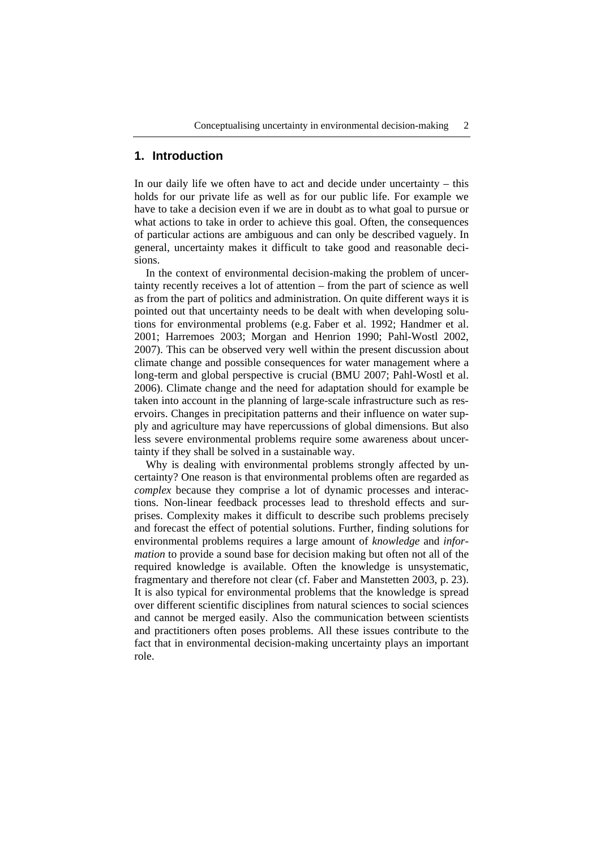## **1. Introduction**

In our daily life we often have to act and decide under uncertainty – this holds for our private life as well as for our public life. For example we have to take a decision even if we are in doubt as to what goal to pursue or what actions to take in order to achieve this goal. Often, the consequences of particular actions are ambiguous and can only be described vaguely. In general, uncertainty makes it difficult to take good and reasonable decisions.

In the context of environmental decision-making the problem of uncertainty recently receives a lot of attention – from the part of science as well as from the part of politics and administration. On quite different ways it is pointed out that uncertainty needs to be dealt with when developing solutions for environmental problems (e.g. Faber et al. 1992; Handmer et al. 2001; Harremoes 2003; Morgan and Henrion 1990; Pahl-Wostl 2002, 2007). This can be observed very well within the present discussion about climate change and possible consequences for water management where a long-term and global perspective is crucial (BMU 2007; Pahl-Wostl et al. 2006). Climate change and the need for adaptation should for example be taken into account in the planning of large-scale infrastructure such as reservoirs. Changes in precipitation patterns and their influence on water supply and agriculture may have repercussions of global dimensions. But also less severe environmental problems require some awareness about uncertainty if they shall be solved in a sustainable way.

Why is dealing with environmental problems strongly affected by uncertainty? One reason is that environmental problems often are regarded as *complex* because they comprise a lot of dynamic processes and interactions. Non-linear feedback processes lead to threshold effects and surprises. Complexity makes it difficult to describe such problems precisely and forecast the effect of potential solutions. Further, finding solutions for environmental problems requires a large amount of *knowledge* and *information* to provide a sound base for decision making but often not all of the required knowledge is available. Often the knowledge is unsystematic, fragmentary and therefore not clear (cf. Faber and Manstetten 2003, p. 23). It is also typical for environmental problems that the knowledge is spread over different scientific disciplines from natural sciences to social sciences and cannot be merged easily. Also the communication between scientists and practitioners often poses problems. All these issues contribute to the fact that in environmental decision-making uncertainty plays an important role.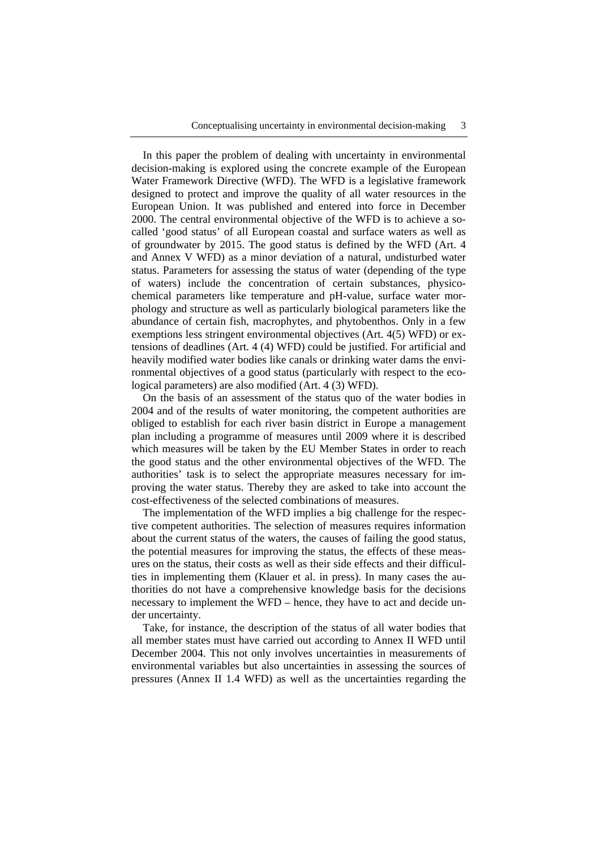In this paper the problem of dealing with uncertainty in environmental decision-making is explored using the concrete example of the European Water Framework Directive (WFD). The WFD is a legislative framework designed to protect and improve the quality of all water resources in the European Union. It was published and entered into force in December 2000. The central environmental objective of the WFD is to achieve a socalled 'good status' of all European coastal and surface waters as well as of groundwater by 2015. The good status is defined by the WFD (Art. 4 and Annex V WFD) as a minor deviation of a natural, undisturbed water status. Parameters for assessing the status of water (depending of the type of waters) include the concentration of certain substances, physicochemical parameters like temperature and pH-value, surface water morphology and structure as well as particularly biological parameters like the abundance of certain fish, macrophytes, and phytobenthos. Only in a few exemptions less stringent environmental objectives (Art. 4(5) WFD) or extensions of deadlines (Art. 4 (4) WFD) could be justified. For artificial and heavily modified water bodies like canals or drinking water dams the environmental objectives of a good status (particularly with respect to the ecological parameters) are also modified (Art. 4 (3) WFD).

On the basis of an assessment of the status quo of the water bodies in 2004 and of the results of water monitoring, the competent authorities are obliged to establish for each river basin district in Europe a management plan including a programme of measures until 2009 where it is described which measures will be taken by the EU Member States in order to reach the good status and the other environmental objectives of the WFD. The authorities' task is to select the appropriate measures necessary for improving the water status. Thereby they are asked to take into account the cost-effectiveness of the selected combinations of measures.

The implementation of the WFD implies a big challenge for the respective competent authorities. The selection of measures requires information about the current status of the waters, the causes of failing the good status, the potential measures for improving the status, the effects of these measures on the status, their costs as well as their side effects and their difficulties in implementing them (Klauer et al. in press). In many cases the authorities do not have a comprehensive knowledge basis for the decisions necessary to implement the WFD – hence, they have to act and decide under uncertainty.

Take, for instance, the description of the status of all water bodies that all member states must have carried out according to Annex II WFD until December 2004. This not only involves uncertainties in measurements of environmental variables but also uncertainties in assessing the sources of pressures (Annex II 1.4 WFD) as well as the uncertainties regarding the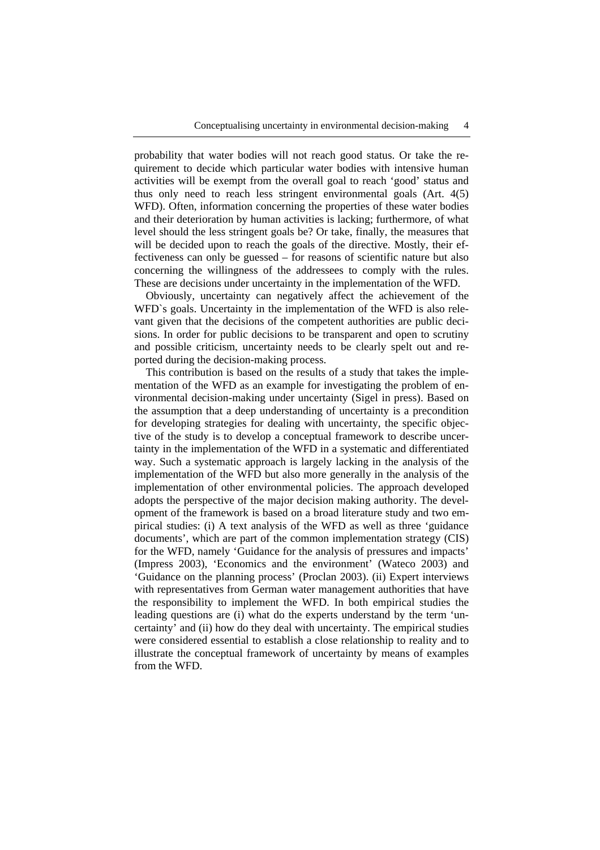probability that water bodies will not reach good status. Or take the requirement to decide which particular water bodies with intensive human activities will be exempt from the overall goal to reach 'good' status and thus only need to reach less stringent environmental goals (Art. 4(5) WFD). Often, information concerning the properties of these water bodies and their deterioration by human activities is lacking; furthermore, of what level should the less stringent goals be? Or take, finally, the measures that will be decided upon to reach the goals of the directive. Mostly, their effectiveness can only be guessed – for reasons of scientific nature but also concerning the willingness of the addressees to comply with the rules. These are decisions under uncertainty in the implementation of the WFD.

Obviously, uncertainty can negatively affect the achievement of the WFD`s goals. Uncertainty in the implementation of the WFD is also relevant given that the decisions of the competent authorities are public decisions. In order for public decisions to be transparent and open to scrutiny and possible criticism, uncertainty needs to be clearly spelt out and reported during the decision-making process.

This contribution is based on the results of a study that takes the implementation of the WFD as an example for investigating the problem of environmental decision-making under uncertainty (Sigel in press). Based on the assumption that a deep understanding of uncertainty is a precondition for developing strategies for dealing with uncertainty, the specific objective of the study is to develop a conceptual framework to describe uncertainty in the implementation of the WFD in a systematic and differentiated way. Such a systematic approach is largely lacking in the analysis of the implementation of the WFD but also more generally in the analysis of the implementation of other environmental policies. The approach developed adopts the perspective of the major decision making authority. The development of the framework is based on a broad literature study and two empirical studies: (i) A text analysis of the WFD as well as three 'guidance documents', which are part of the common implementation strategy (CIS) for the WFD, namely 'Guidance for the analysis of pressures and impacts' (Impress 2003), 'Economics and the environment' (Wateco 2003) and 'Guidance on the planning process' (Proclan 2003). (ii) Expert interviews with representatives from German water management authorities that have the responsibility to implement the WFD. In both empirical studies the leading questions are (i) what do the experts understand by the term 'uncertainty' and (ii) how do they deal with uncertainty. The empirical studies were considered essential to establish a close relationship to reality and to illustrate the conceptual framework of uncertainty by means of examples from the WFD.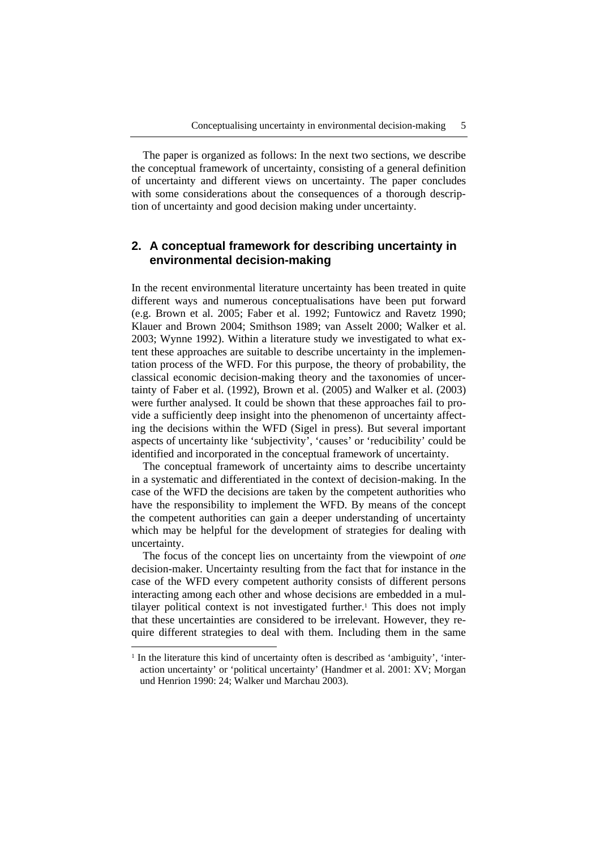The paper is organized as follows: In the next two sections, we describe the conceptual framework of uncertainty, consisting of a general definition of uncertainty and different views on uncertainty. The paper concludes with some considerations about the consequences of a thorough description of uncertainty and good decision making under uncertainty.

# **2. A conceptual framework for describing uncertainty in environmental decision-making**

In the recent environmental literature uncertainty has been treated in quite different ways and numerous conceptualisations have been put forward (e.g. Brown et al. 2005; Faber et al. 1992; Funtowicz and Ravetz 1990; Klauer and Brown 2004; Smithson 1989; van Asselt 2000; Walker et al. 2003; Wynne 1992). Within a literature study we investigated to what extent these approaches are suitable to describe uncertainty in the implementation process of the WFD. For this purpose, the theory of probability, the classical economic decision-making theory and the taxonomies of uncertainty of Faber et al. (1992), Brown et al. (2005) and Walker et al. (2003) were further analysed. It could be shown that these approaches fail to provide a sufficiently deep insight into the phenomenon of uncertainty affecting the decisions within the WFD (Sigel in press). But several important aspects of uncertainty like 'subjectivity', 'causes' or 'reducibility' could be identified and incorporated in the conceptual framework of uncertainty.

The conceptual framework of uncertainty aims to describe uncertainty in a systematic and differentiated in the context of decision-making. In the case of the WFD the decisions are taken by the competent authorities who have the responsibility to implement the WFD. By means of the concept the competent authorities can gain a deeper understanding of uncertainty which may be helpful for the development of strategies for dealing with uncertainty.

The focus of the concept lies on uncertainty from the viewpoint of *one* decision-maker. Uncertainty resulting from the fact that for instance in the case of the WFD every competent authority consists of different persons interacting among each other and whose decisions are embedded in a multilayer political context is not investigated further.<sup>1</sup> This does not imply that these uncertainties are considered to be irrelevant. However, they require different strategies to deal with them. Including them in the same

<sup>&</sup>lt;sup>1</sup> In the literature this kind of uncertainty often is described as 'ambiguity', 'interaction uncertainty' or 'political uncertainty' (Handmer et al. 2001: XV; Morgan und Henrion 1990: 24; Walker und Marchau 2003).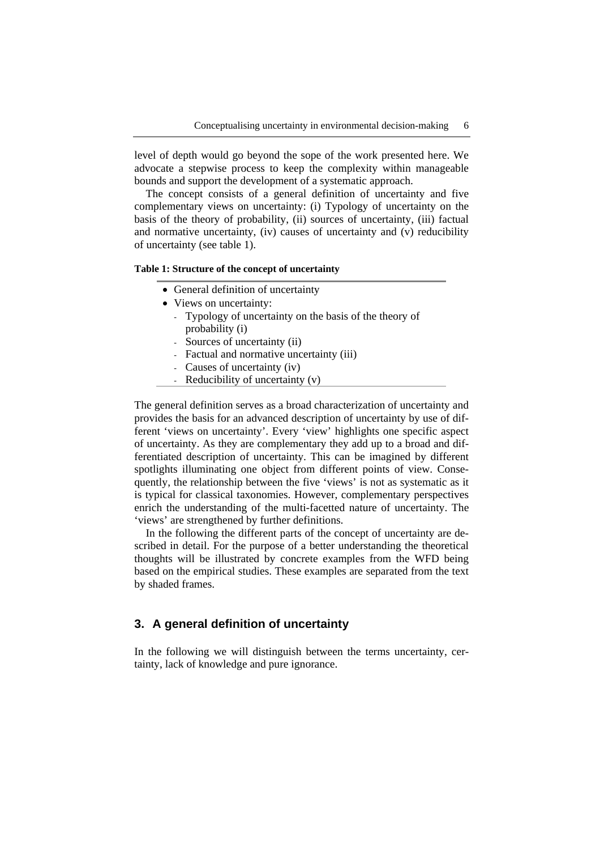level of depth would go beyond the sope of the work presented here. We advocate a stepwise process to keep the complexity within manageable bounds and support the development of a systematic approach.

The concept consists of a general definition of uncertainty and five complementary views on uncertainty: (i) Typology of uncertainty on the basis of the theory of probability, (ii) sources of uncertainty, (iii) factual and normative uncertainty, (iv) causes of uncertainty and (v) reducibility of uncertainty (see table 1).

#### **Table 1: Structure of the concept of uncertainty**

- General definition of uncertainty
- Views on uncertainty:
	- Typology of uncertainty on the basis of the theory of probability (i)
	- Sources of uncertainty (ii)
	- Factual and normative uncertainty (iii)
	- Causes of uncertainty (iv)
	- Reducibility of uncertainty (v)

The general definition serves as a broad characterization of uncertainty and provides the basis for an advanced description of uncertainty by use of different 'views on uncertainty'. Every 'view' highlights one specific aspect of uncertainty. As they are complementary they add up to a broad and differentiated description of uncertainty. This can be imagined by different spotlights illuminating one object from different points of view. Consequently, the relationship between the five 'views' is not as systematic as it is typical for classical taxonomies. However, complementary perspectives enrich the understanding of the multi-facetted nature of uncertainty. The 'views' are strengthened by further definitions.

In the following the different parts of the concept of uncertainty are described in detail. For the purpose of a better understanding the theoretical thoughts will be illustrated by concrete examples from the WFD being based on the empirical studies. These examples are separated from the text by shaded frames.

# **3. A general definition of uncertainty**

In the following we will distinguish between the terms uncertainty, certainty, lack of knowledge and pure ignorance.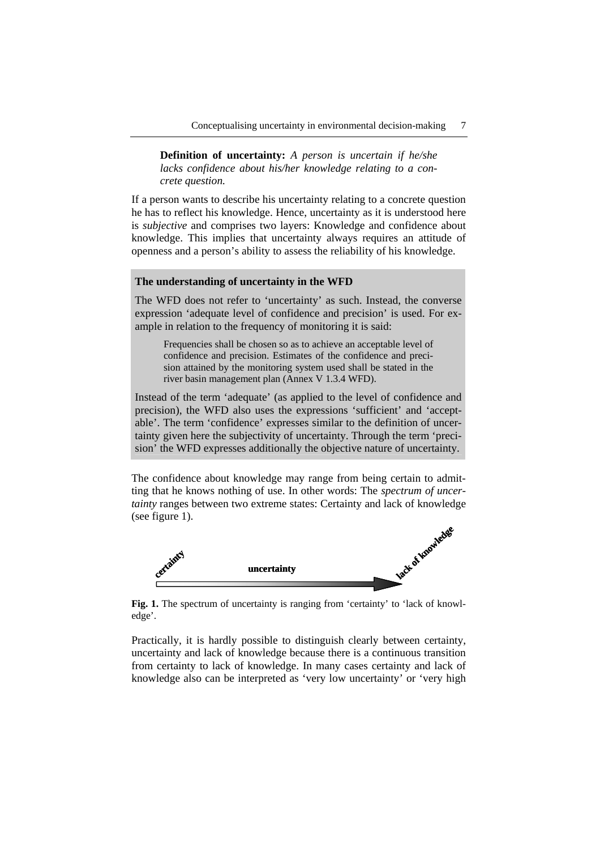**Definition of uncertainty:** *A person is uncertain if he/she lacks confidence about his/her knowledge relating to a concrete question.*

If a person wants to describe his uncertainty relating to a concrete question he has to reflect his knowledge. Hence, uncertainty as it is understood here is *subjective* and comprises two layers: Knowledge and confidence about knowledge. This implies that uncertainty always requires an attitude of openness and a person's ability to assess the reliability of his knowledge.

## **The understanding of uncertainty in the WFD**

The WFD does not refer to 'uncertainty' as such. Instead, the converse expression 'adequate level of confidence and precision' is used. For example in relation to the frequency of monitoring it is said:

Frequencies shall be chosen so as to achieve an acceptable level of confidence and precision. Estimates of the confidence and precision attained by the monitoring system used shall be stated in the river basin management plan (Annex V 1.3.4 WFD).

Instead of the term 'adequate' (as applied to the level of confidence and precision), the WFD also uses the expressions 'sufficient' and 'acceptable'. The term 'confidence' expresses similar to the definition of uncertainty given here the subjectivity of uncertainty. Through the term 'precision' the WFD expresses additionally the objective nature of uncertainty.

The confidence about knowledge may range from being certain to admitting that he knows nothing of use. In other words: The *spectrum of uncertainty* ranges between two extreme states: Certainty and lack of knowledge (see figure 1).



Fig. 1. The spectrum of uncertainty is ranging from 'certainty' to 'lack of knowledge'.

Practically, it is hardly possible to distinguish clearly between certainty, uncertainty and lack of knowledge because there is a continuous transition from certainty to lack of knowledge. In many cases certainty and lack of knowledge also can be interpreted as 'very low uncertainty' or 'very high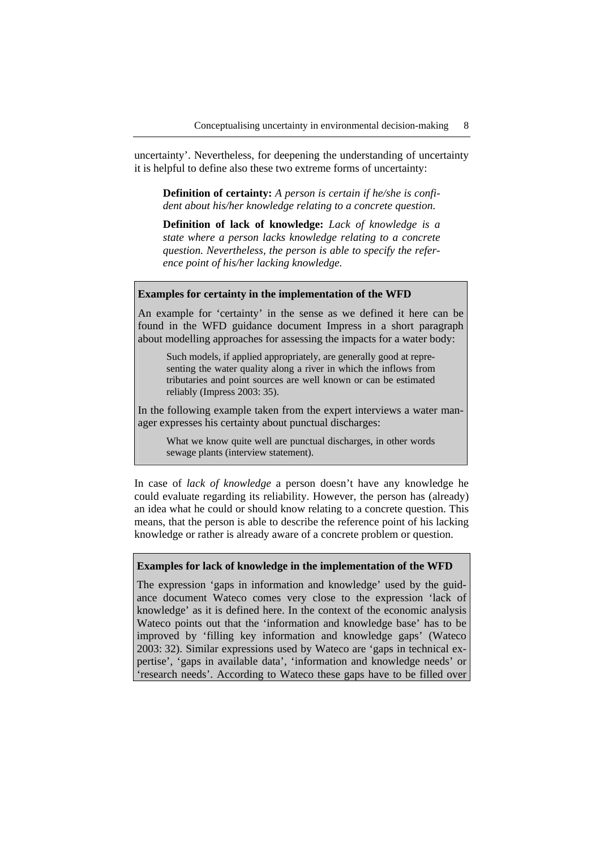uncertainty'. Nevertheless, for deepening the understanding of uncertainty it is helpful to define also these two extreme forms of uncertainty:

**Definition of certainty:** *A person is certain if he/she is confident about his/her knowledge relating to a concrete question.* 

**Definition of lack of knowledge:** *Lack of knowledge is a state where a person lacks knowledge relating to a concrete question. Nevertheless, the person is able to specify the reference point of his/her lacking knowledge.*

#### **Examples for certainty in the implementation of the WFD**

An example for 'certainty' in the sense as we defined it here can be found in the WFD guidance document Impress in a short paragraph about modelling approaches for assessing the impacts for a water body:

Such models, if applied appropriately, are generally good at representing the water quality along a river in which the inflows from tributaries and point sources are well known or can be estimated reliably (Impress 2003: 35).

In the following example taken from the expert interviews a water manager expresses his certainty about punctual discharges:

What we know quite well are punctual discharges, in other words sewage plants (interview statement).

In case of *lack of knowledge* a person doesn't have any knowledge he could evaluate regarding its reliability. However, the person has (already) an idea what he could or should know relating to a concrete question. This means, that the person is able to describe the reference point of his lacking knowledge or rather is already aware of a concrete problem or question.

#### **Examples for lack of knowledge in the implementation of the WFD**

The expression 'gaps in information and knowledge' used by the guidance document Wateco comes very close to the expression 'lack of knowledge' as it is defined here. In the context of the economic analysis Wateco points out that the 'information and knowledge base' has to be improved by 'filling key information and knowledge gaps' (Wateco 2003: 32). Similar expressions used by Wateco are 'gaps in technical expertise', 'gaps in available data', 'information and knowledge needs' or 'research needs'. According to Wateco these gaps have to be filled over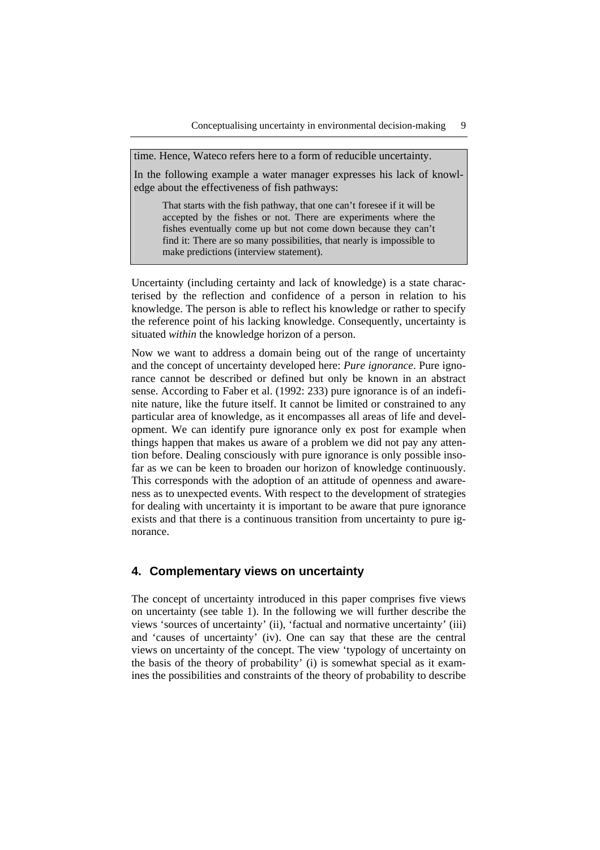time. Hence, Wateco refers here to a form of reducible uncertainty.

In the following example a water manager expresses his lack of knowledge about the effectiveness of fish pathways:

That starts with the fish pathway, that one can't foresee if it will be accepted by the fishes or not. There are experiments where the fishes eventually come up but not come down because they can't find it: There are so many possibilities, that nearly is impossible to make predictions (interview statement).

Uncertainty (including certainty and lack of knowledge) is a state characterised by the reflection and confidence of a person in relation to his knowledge. The person is able to reflect his knowledge or rather to specify the reference point of his lacking knowledge. Consequently, uncertainty is situated *within* the knowledge horizon of a person.

Now we want to address a domain being out of the range of uncertainty and the concept of uncertainty developed here: *Pure ignorance*. Pure ignorance cannot be described or defined but only be known in an abstract sense. According to Faber et al. (1992: 233) pure ignorance is of an indefinite nature, like the future itself. It cannot be limited or constrained to any particular area of knowledge, as it encompasses all areas of life and development. We can identify pure ignorance only ex post for example when things happen that makes us aware of a problem we did not pay any attention before. Dealing consciously with pure ignorance is only possible insofar as we can be keen to broaden our horizon of knowledge continuously. This corresponds with the adoption of an attitude of openness and awareness as to unexpected events. With respect to the development of strategies for dealing with uncertainty it is important to be aware that pure ignorance exists and that there is a continuous transition from uncertainty to pure ignorance.

# **4. Complementary views on uncertainty**

The concept of uncertainty introduced in this paper comprises five views on uncertainty (see table 1). In the following we will further describe the views 'sources of uncertainty' (ii), 'factual and normative uncertainty' (iii) and 'causes of uncertainty' (iv). One can say that these are the central views on uncertainty of the concept. The view 'typology of uncertainty on the basis of the theory of probability' (i) is somewhat special as it examines the possibilities and constraints of the theory of probability to describe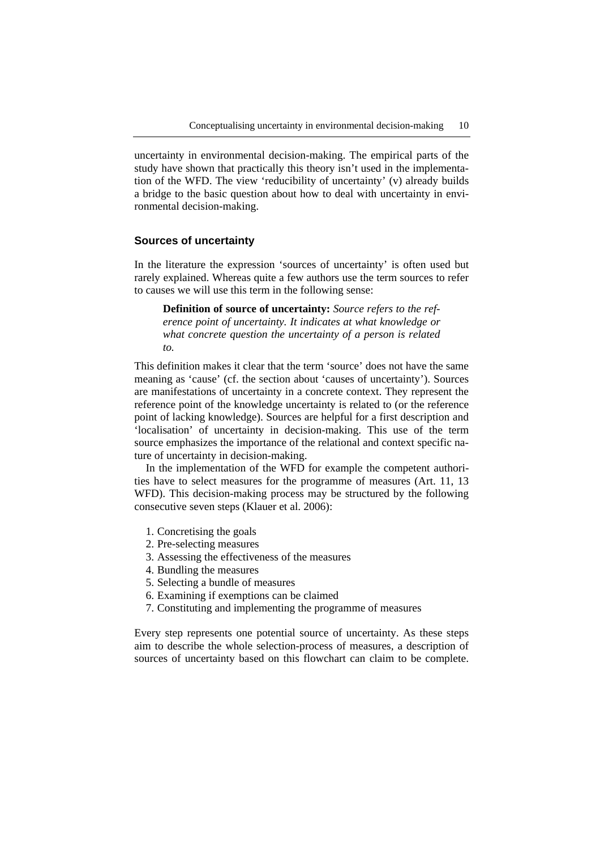uncertainty in environmental decision-making. The empirical parts of the study have shown that practically this theory isn't used in the implementation of the WFD. The view 'reducibility of uncertainty' (v) already builds a bridge to the basic question about how to deal with uncertainty in environmental decision-making.

#### **Sources of uncertainty**

In the literature the expression 'sources of uncertainty' is often used but rarely explained. Whereas quite a few authors use the term sources to refer to causes we will use this term in the following sense:

**Definition of source of uncertainty:** *Source refers to the reference point of uncertainty. It indicates at what knowledge or what concrete question the uncertainty of a person is related to.* 

This definition makes it clear that the term 'source' does not have the same meaning as 'cause' (cf. the section about 'causes of uncertainty'). Sources are manifestations of uncertainty in a concrete context. They represent the reference point of the knowledge uncertainty is related to (or the reference point of lacking knowledge). Sources are helpful for a first description and 'localisation' of uncertainty in decision-making. This use of the term source emphasizes the importance of the relational and context specific nature of uncertainty in decision-making.

In the implementation of the WFD for example the competent authorities have to select measures for the programme of measures (Art. 11, 13 WFD). This decision-making process may be structured by the following consecutive seven steps (Klauer et al. 2006):

- 1. Concretising the goals
- 2. Pre-selecting measures
- 3. Assessing the effectiveness of the measures
- 4. Bundling the measures
- 5. Selecting a bundle of measures
- 6. Examining if exemptions can be claimed
- 7. Constituting and implementing the programme of measures

Every step represents one potential source of uncertainty. As these steps aim to describe the whole selection-process of measures, a description of sources of uncertainty based on this flowchart can claim to be complete.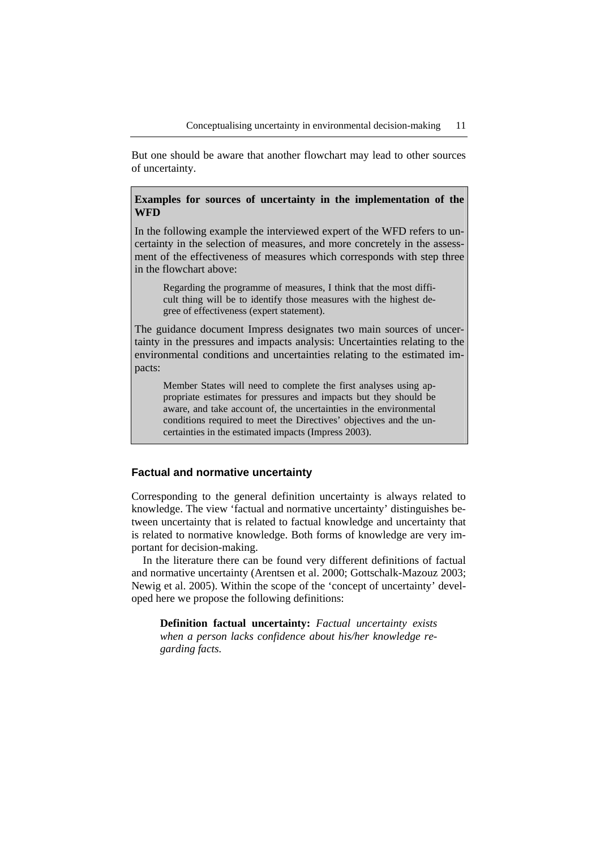But one should be aware that another flowchart may lead to other sources of uncertainty.

### **Examples for sources of uncertainty in the implementation of the WFD**

In the following example the interviewed expert of the WFD refers to uncertainty in the selection of measures, and more concretely in the assessment of the effectiveness of measures which corresponds with step three in the flowchart above:

Regarding the programme of measures, I think that the most difficult thing will be to identify those measures with the highest degree of effectiveness (expert statement).

The guidance document Impress designates two main sources of uncertainty in the pressures and impacts analysis: Uncertainties relating to the environmental conditions and uncertainties relating to the estimated impacts:

Member States will need to complete the first analyses using appropriate estimates for pressures and impacts but they should be aware, and take account of, the uncertainties in the environmental conditions required to meet the Directives' objectives and the uncertainties in the estimated impacts (Impress 2003).

### **Factual and normative uncertainty**

Corresponding to the general definition uncertainty is always related to knowledge. The view 'factual and normative uncertainty' distinguishes between uncertainty that is related to factual knowledge and uncertainty that is related to normative knowledge. Both forms of knowledge are very important for decision-making.

In the literature there can be found very different definitions of factual and normative uncertainty (Arentsen et al. 2000; Gottschalk-Mazouz 2003; Newig et al. 2005). Within the scope of the 'concept of uncertainty' developed here we propose the following definitions:

**Definition factual uncertainty:** *Factual uncertainty exists when a person lacks confidence about his/her knowledge regarding facts.*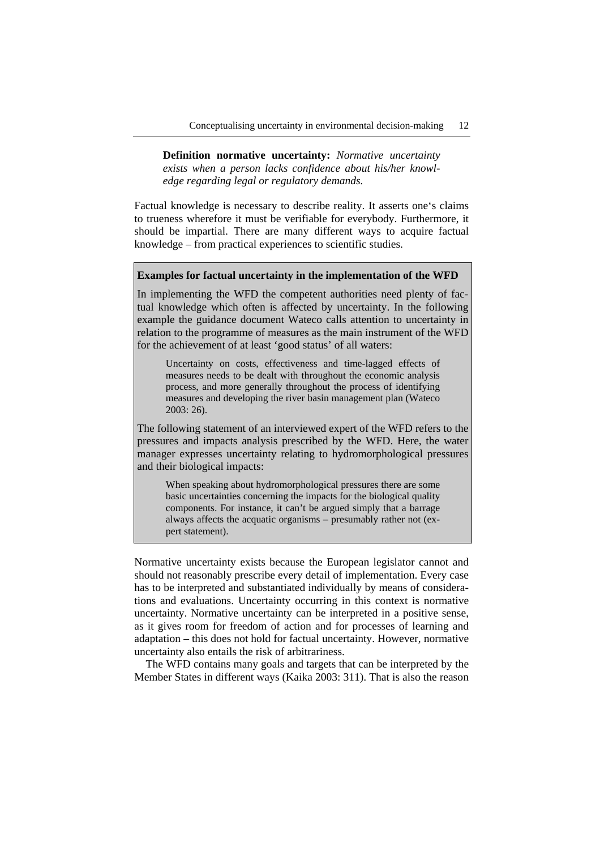**Definition normative uncertainty:** *Normative uncertainty exists when a person lacks confidence about his/her knowledge regarding legal or regulatory demands.* 

Factual knowledge is necessary to describe reality. It asserts one's claims to trueness wherefore it must be verifiable for everybody. Furthermore, it should be impartial. There are many different ways to acquire factual knowledge – from practical experiences to scientific studies.

#### **Examples for factual uncertainty in the implementation of the WFD**

In implementing the WFD the competent authorities need plenty of factual knowledge which often is affected by uncertainty. In the following example the guidance document Wateco calls attention to uncertainty in relation to the programme of measures as the main instrument of the WFD for the achievement of at least 'good status' of all waters:

Uncertainty on costs, effectiveness and time-lagged effects of measures needs to be dealt with throughout the economic analysis process, and more generally throughout the process of identifying measures and developing the river basin management plan (Wateco 2003: 26).

The following statement of an interviewed expert of the WFD refers to the pressures and impacts analysis prescribed by the WFD. Here, the water manager expresses uncertainty relating to hydromorphological pressures and their biological impacts:

When speaking about hydromorphological pressures there are some basic uncertainties concerning the impacts for the biological quality components. For instance, it can't be argued simply that a barrage always affects the acquatic organisms – presumably rather not (expert statement).

Normative uncertainty exists because the European legislator cannot and should not reasonably prescribe every detail of implementation. Every case has to be interpreted and substantiated individually by means of considerations and evaluations. Uncertainty occurring in this context is normative uncertainty. Normative uncertainty can be interpreted in a positive sense, as it gives room for freedom of action and for processes of learning and adaptation – this does not hold for factual uncertainty. However, normative uncertainty also entails the risk of arbitrariness.

The WFD contains many goals and targets that can be interpreted by the Member States in different ways (Kaika 2003: 311). That is also the reason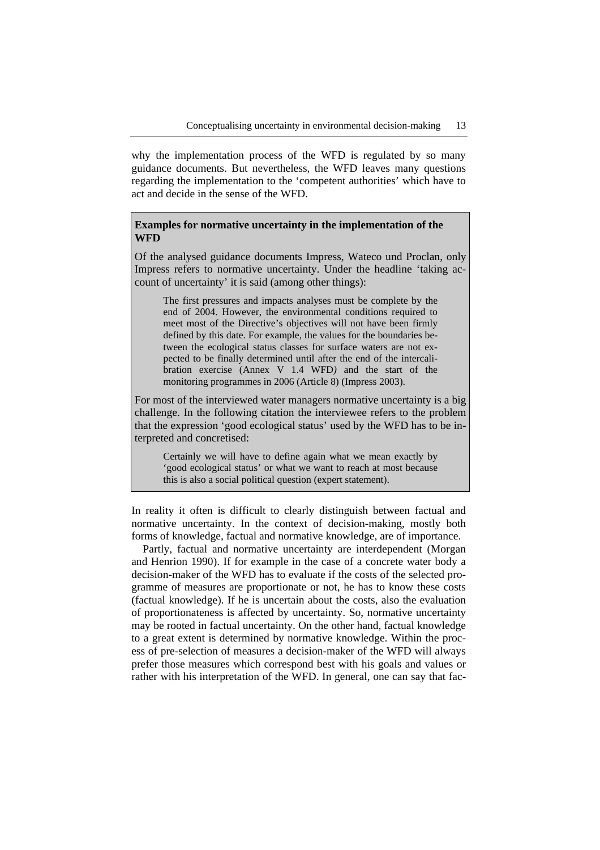why the implementation process of the WFD is regulated by so many guidance documents. But nevertheless, the WFD leaves many questions regarding the implementation to the 'competent authorities' which have to act and decide in the sense of the WFD.

## **Examples for normative uncertainty in the implementation of the WFD**

Of the analysed guidance documents Impress, Wateco und Proclan, only Impress refers to normative uncertainty. Under the headline 'taking account of uncertainty' it is said (among other things):

The first pressures and impacts analyses must be complete by the end of 2004. However, the environmental conditions required to meet most of the Directive's objectives will not have been firmly defined by this date. For example, the values for the boundaries between the ecological status classes for surface waters are not expected to be finally determined until after the end of the intercalibration exercise (Annex V 1.4 WFD*)* and the start of the monitoring programmes in 2006 (Article 8) (Impress 2003).

For most of the interviewed water managers normative uncertainty is a big challenge. In the following citation the interviewee refers to the problem that the expression 'good ecological status' used by the WFD has to be interpreted and concretised:

Certainly we will have to define again what we mean exactly by 'good ecological status' or what we want to reach at most because this is also a social political question (expert statement).

In reality it often is difficult to clearly distinguish between factual and normative uncertainty. In the context of decision-making, mostly both forms of knowledge, factual and normative knowledge, are of importance.

Partly, factual and normative uncertainty are interdependent (Morgan and Henrion 1990). If for example in the case of a concrete water body a decision-maker of the WFD has to evaluate if the costs of the selected programme of measures are proportionate or not, he has to know these costs (factual knowledge). If he is uncertain about the costs, also the evaluation of proportionateness is affected by uncertainty. So, normative uncertainty may be rooted in factual uncertainty. On the other hand, factual knowledge to a great extent is determined by normative knowledge. Within the process of pre-selection of measures a decision-maker of the WFD will always prefer those measures which correspond best with his goals and values or rather with his interpretation of the WFD. In general, one can say that fac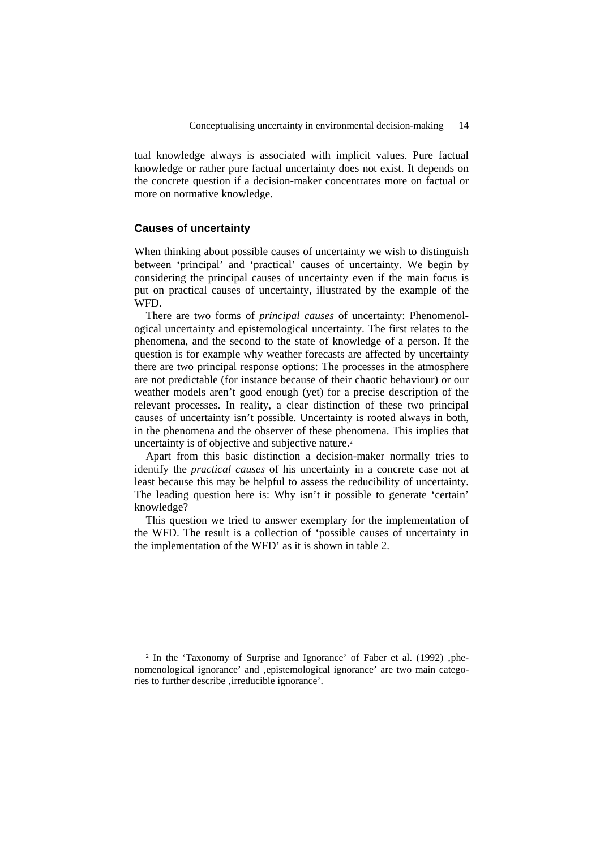tual knowledge always is associated with implicit values. Pure factual knowledge or rather pure factual uncertainty does not exist. It depends on the concrete question if a decision-maker concentrates more on factual or more on normative knowledge.

#### **Causes of uncertainty**

When thinking about possible causes of uncertainty we wish to distinguish between 'principal' and 'practical' causes of uncertainty. We begin by considering the principal causes of uncertainty even if the main focus is put on practical causes of uncertainty, illustrated by the example of the WFD.

There are two forms of *principal causes* of uncertainty: Phenomenological uncertainty and epistemological uncertainty. The first relates to the phenomena, and the second to the state of knowledge of a person. If the question is for example why weather forecasts are affected by uncertainty there are two principal response options: The processes in the atmosphere are not predictable (for instance because of their chaotic behaviour) or our weather models aren't good enough (yet) for a precise description of the relevant processes. In reality, a clear distinction of these two principal causes of uncertainty isn't possible. Uncertainty is rooted always in both, in the phenomena and the observer of these phenomena. This implies that uncertainty is of objective and subjective nature.2

Apart from this basic distinction a decision-maker normally tries to identify the *practical causes* of his uncertainty in a concrete case not at least because this may be helpful to assess the reducibility of uncertainty. The leading question here is: Why isn't it possible to generate 'certain' knowledge?

This question we tried to answer exemplary for the implementation of the WFD. The result is a collection of 'possible causes of uncertainty in the implementation of the WFD' as it is shown in table 2.

 $2$  In the 'Taxonomy of Surprise and Ignorance' of Faber et al. (1992), phenomenological ignorance' and ,epistemological ignorance' are two main categories to further describe , irreducible ignorance'.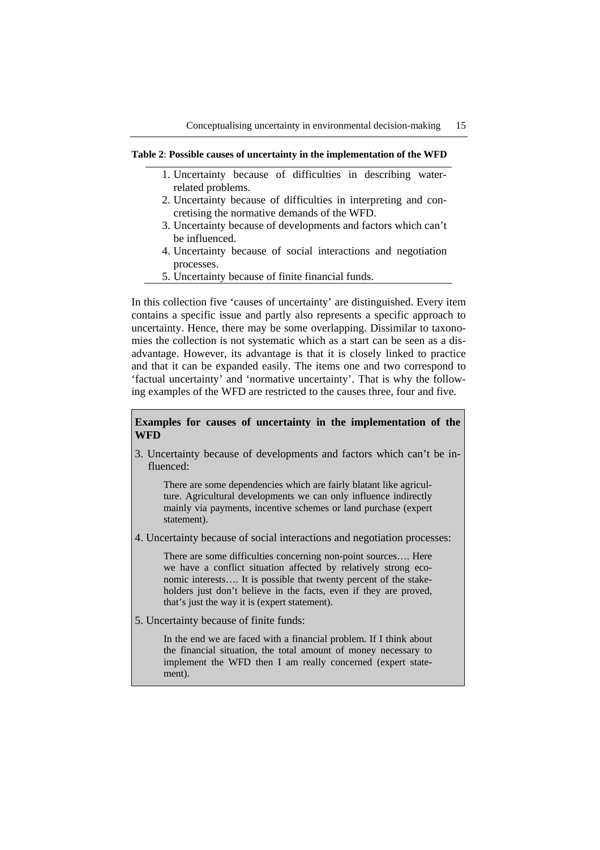#### **Table 2**: **Possible causes of uncertainty in the implementation of the WFD**

- 1. Uncertainty because of difficulties in describing waterrelated problems.
- 2. Uncertainty because of difficulties in interpreting and concretising the normative demands of the WFD.
- 3. Uncertainty because of developments and factors which can't be influenced.
- 4. Uncertainty because of social interactions and negotiation processes.
- 5. Uncertainty because of finite financial funds.

In this collection five 'causes of uncertainty' are distinguished. Every item contains a specific issue and partly also represents a specific approach to uncertainty. Hence, there may be some overlapping. Dissimilar to taxonomies the collection is not systematic which as a start can be seen as a disadvantage. However, its advantage is that it is closely linked to practice and that it can be expanded easily. The items one and two correspond to 'factual uncertainty' and 'normative uncertainty'. That is why the following examples of the WFD are restricted to the causes three, four and five.

## **Examples for causes of uncertainty in the implementation of the WFD**

3. Uncertainty because of developments and factors which can't be influenced:

There are some dependencies which are fairly blatant like agriculture. Agricultural developments we can only influence indirectly mainly via payments, incentive schemes or land purchase (expert statement).

4. Uncertainty because of social interactions and negotiation processes:

There are some difficulties concerning non-point sources…. Here we have a conflict situation affected by relatively strong economic interests…. It is possible that twenty percent of the stakeholders just don't believe in the facts, even if they are proved, that's just the way it is (expert statement).

5. Uncertainty because of finite funds:

In the end we are faced with a financial problem. If I think about the financial situation, the total amount of money necessary to implement the WFD then I am really concerned (expert statement).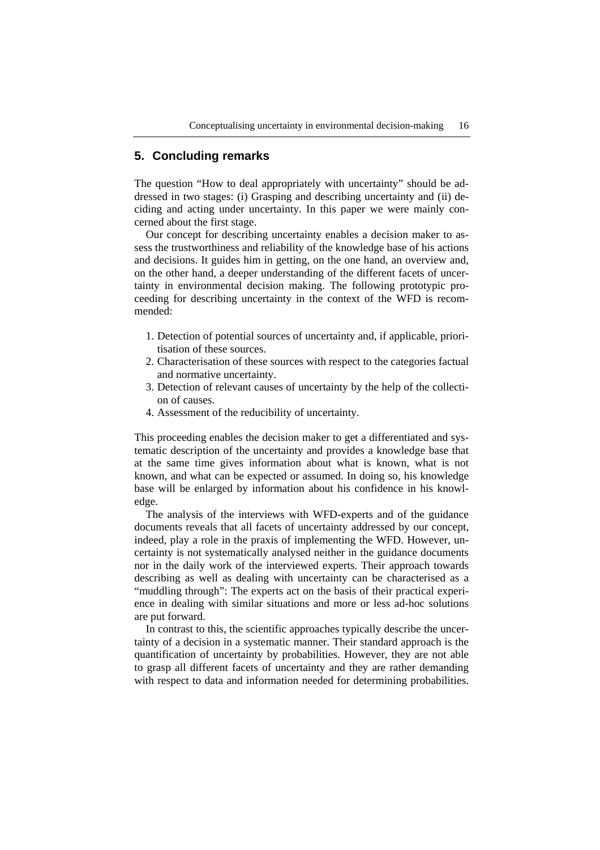### **5. Concluding remarks**

The question "How to deal appropriately with uncertainty" should be addressed in two stages: (i) Grasping and describing uncertainty and (ii) deciding and acting under uncertainty. In this paper we were mainly concerned about the first stage.

Our concept for describing uncertainty enables a decision maker to assess the trustworthiness and reliability of the knowledge base of his actions and decisions. It guides him in getting, on the one hand, an overview and, on the other hand, a deeper understanding of the different facets of uncertainty in environmental decision making. The following prototypic proceeding for describing uncertainty in the context of the WFD is recommended:

- 1. Detection of potential sources of uncertainty and, if applicable, prioritisation of these sources.
- 2. Characterisation of these sources with respect to the categories factual and normative uncertainty.
- 3. Detection of relevant causes of uncertainty by the help of the collection of causes.
- 4. Assessment of the reducibility of uncertainty.

This proceeding enables the decision maker to get a differentiated and systematic description of the uncertainty and provides a knowledge base that at the same time gives information about what is known, what is not known, and what can be expected or assumed. In doing so, his knowledge base will be enlarged by information about his confidence in his knowledge.

The analysis of the interviews with WFD-experts and of the guidance documents reveals that all facets of uncertainty addressed by our concept, indeed, play a role in the praxis of implementing the WFD. However, uncertainty is not systematically analysed neither in the guidance documents nor in the daily work of the interviewed experts. Their approach towards describing as well as dealing with uncertainty can be characterised as a "muddling through": The experts act on the basis of their practical experience in dealing with similar situations and more or less ad-hoc solutions are put forward.

In contrast to this, the scientific approaches typically describe the uncertainty of a decision in a systematic manner. Their standard approach is the quantification of uncertainty by probabilities. However, they are not able to grasp all different facets of uncertainty and they are rather demanding with respect to data and information needed for determining probabilities.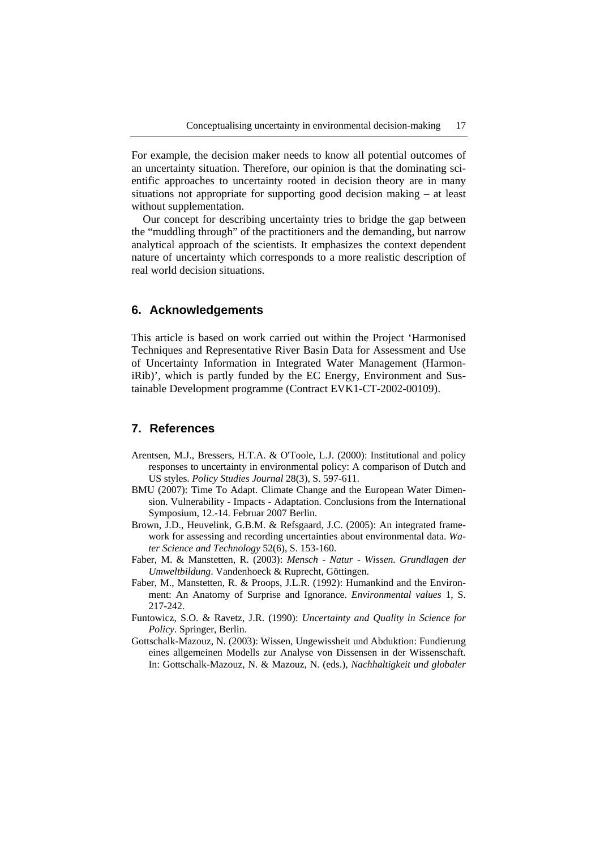For example, the decision maker needs to know all potential outcomes of an uncertainty situation. Therefore, our opinion is that the dominating scientific approaches to uncertainty rooted in decision theory are in many situations not appropriate for supporting good decision making – at least without supplementation.

Our concept for describing uncertainty tries to bridge the gap between the "muddling through" of the practitioners and the demanding, but narrow analytical approach of the scientists. It emphasizes the context dependent nature of uncertainty which corresponds to a more realistic description of real world decision situations.

## **6. Acknowledgements**

This article is based on work carried out within the Project 'Harmonised Techniques and Representative River Basin Data for Assessment and Use of Uncertainty Information in Integrated Water Management (HarmoniRib)', which is partly funded by the EC Energy, Environment and Sustainable Development programme (Contract EVK1-CT-2002-00109).

# **7. References**

- Arentsen, M.J., Bressers, H.T.A. & O'Toole, L.J. (2000): Institutional and policy responses to uncertainty in environmental policy: A comparison of Dutch and US styles. *Policy Studies Journal* 28(3), S. 597-611.
- BMU (2007): Time To Adapt. Climate Change and the European Water Dimension. Vulnerability - Impacts - Adaptation. Conclusions from the International Symposium, 12.-14. Februar 2007 Berlin.
- Brown, J.D., Heuvelink, G.B.M. & Refsgaard, J.C. (2005): An integrated framework for assessing and recording uncertainties about environmental data. *Water Science and Technology* 52(6), S. 153-160.
- Faber, M. & Manstetten, R. (2003): *Mensch Natur Wissen. Grundlagen der Umweltbildung*. Vandenhoeck & Ruprecht, Göttingen.
- Faber, M., Manstetten, R. & Proops, J.L.R. (1992): Humankind and the Environment: An Anatomy of Surprise and Ignorance. *Environmental values* 1, S. 217-242.
- Funtowicz, S.O. & Ravetz, J.R. (1990): *Uncertainty and Quality in Science for Policy*. Springer, Berlin.
- Gottschalk-Mazouz, N. (2003): Wissen, Ungewissheit und Abduktion: Fundierung eines allgemeinen Modells zur Analyse von Dissensen in der Wissenschaft. In: Gottschalk-Mazouz, N. & Mazouz, N. (eds.), *Nachhaltigkeit und globaler*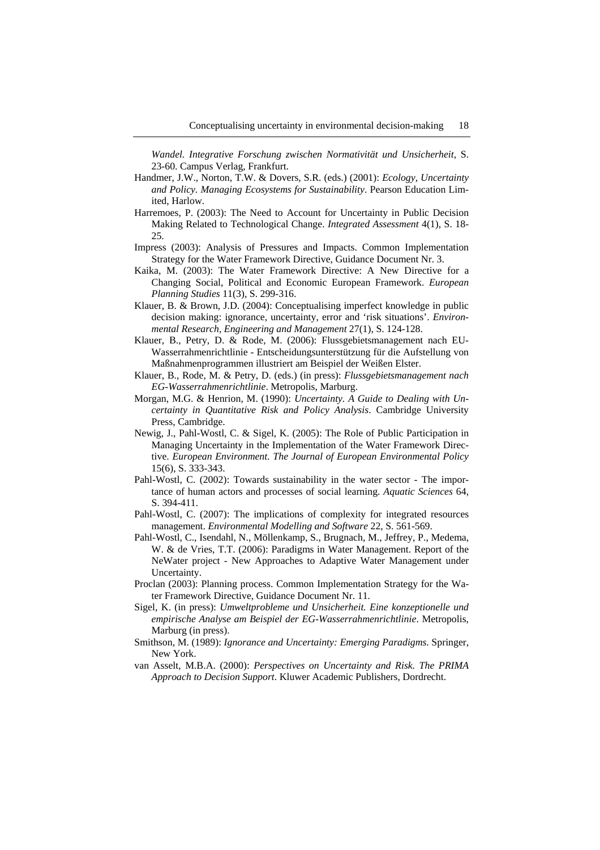*Wandel. Integrative Forschung zwischen Normativität und Unsicherheit*, S. 23-60. Campus Verlag, Frankfurt.

- Handmer, J.W., Norton, T.W. & Dovers, S.R. (eds.) (2001): *Ecology, Uncertainty and Policy. Managing Ecosystems for Sustainability*. Pearson Education Limited, Harlow.
- Harremoes, P. (2003): The Need to Account for Uncertainty in Public Decision Making Related to Technological Change. *Integrated Assessment* 4(1), S. 18- 25.
- Impress (2003): Analysis of Pressures and Impacts. Common Implementation Strategy for the Water Framework Directive, Guidance Document Nr. 3.
- Kaika, M. (2003): The Water Framework Directive: A New Directive for a Changing Social, Political and Economic European Framework. *European Planning Studies* 11(3), S. 299-316.
- Klauer, B. & Brown, J.D. (2004): Conceptualising imperfect knowledge in public decision making: ignorance, uncertainty, error and 'risk situations'. *Environmental Research, Engineering and Management* 27(1), S. 124-128.
- Klauer, B., Petry, D. & Rode, M. (2006): Flussgebietsmanagement nach EU-Wasserrahmenrichtlinie - Entscheidungsunterstützung für die Aufstellung von Maßnahmenprogrammen illustriert am Beispiel der Weißen Elster.
- Klauer, B., Rode, M. & Petry, D. (eds.) (in press): *Flussgebietsmanagement nach EG-Wasserrahmenrichtlinie*. Metropolis, Marburg.
- Morgan, M.G. & Henrion, M. (1990): *Uncertainty. A Guide to Dealing with Uncertainty in Quantitative Risk and Policy Analysis*. Cambridge University Press, Cambridge.
- Newig, J., Pahl-Wostl, C. & Sigel, K. (2005): The Role of Public Participation in Managing Uncertainty in the Implementation of the Water Framework Directive. *European Environment. The Journal of European Environmental Policy* 15(6), S. 333-343.
- Pahl-Wostl, C. (2002): Towards sustainability in the water sector The importance of human actors and processes of social learning. *Aquatic Sciences* 64, S. 394-411.
- Pahl-Wostl, C. (2007): The implications of complexity for integrated resources management. *Environmental Modelling and Software* 22, S. 561-569.
- Pahl-Wostl, C., Isendahl, N., Möllenkamp, S., Brugnach, M., Jeffrey, P., Medema, W. & de Vries, T.T. (2006): Paradigms in Water Management. Report of the NeWater project - New Approaches to Adaptive Water Management under Uncertainty.
- Proclan (2003): Planning process. Common Implementation Strategy for the Water Framework Directive, Guidance Document Nr. 11.
- Sigel, K. (in press): *Umweltprobleme und Unsicherheit. Eine konzeptionelle und empirische Analyse am Beispiel der EG-Wasserrahmenrichtlinie*. Metropolis, Marburg (in press).
- Smithson, M. (1989): *Ignorance and Uncertainty: Emerging Paradigms*. Springer, New York.
- van Asselt, M.B.A. (2000): *Perspectives on Uncertainty and Risk. The PRIMA Approach to Decision Support*. Kluwer Academic Publishers, Dordrecht.